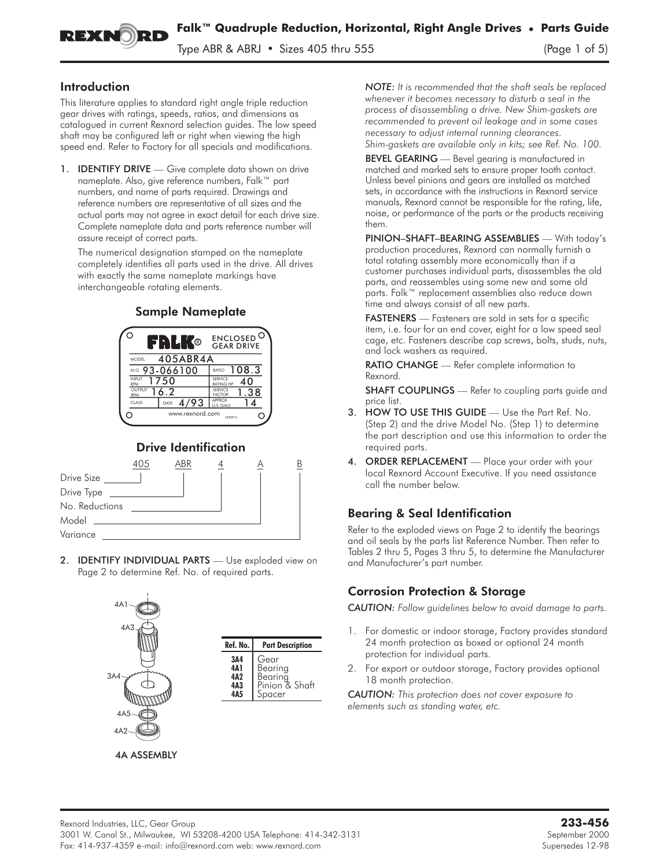

Type ABR & ABRJ • Sizes 405 thru 555 (Page 1 of 5)

### Introduction

This literature applies to standard right angle triple reduction gear drives with ratings, speeds, ratios, and dimensions as catalogued in current Rexnord selection guides. The low speed shaft may be configured left or right when viewing the high speed end. Refer to Factory for all specials and modifications.

1. **IDENTIFY DRIVE** — Give complete data shown on drive nameplate. Also, give reference numbers, Falk™ part numbers, and name of parts required. Drawings and reference numbers are representative of all sizes and the actual parts may not agree in exact detail for each drive size. Complete nameplate data and parts reference number will assure receipt of correct parts.

The numerical designation stamped on the nameplate completely identifies all parts used in the drive. All drives with exactly the same nameplate markings have interchangeable rotating elements.

#### Sample Nameplate B ENCLOSED <sup>(</sup><br>GEAR DRIVE 405ABR4A MODEL M.O. 93-066100 | RATIO 108.3 1750 40 INPUT SERVICE RATING HP RPM 16.2 1.38 OUTPUT SERVICE FACTOR RPM CLASS DATE  $4/93$   $\frac{APPROX}{U.S.GAI}$ 14 U.S. GALS www.rexnord.com ⌒  $\subset$ 1220915

## Drive Identification



2. **IDENTIFY INDIVIDUAL PARTS** - Use exploded view on Page 2 to determine Ref. No. of required parts.



*NOTE: It is recommended that the shaft seals be replaced whenever it becomes necessary to disturb a seal in the process of disassembling a drive. New Shim-gaskets are recommended to prevent oil leakage and in some cases necessary to adjust internal running clearances. Shim-gaskets are available only in kits; see Ref. No. 100.*

BEVEL GEARING - Bevel gearing is manufactured in matched and marked sets to ensure proper tooth contact. Unless bevel pinions and gears are installed as matched sets, in accordance with the instructions in Rexnord service manuals, Rexnord cannot be responsible for the rating, life, noise, or performance of the parts or the products receiving them.

PINION–SHAFT–BEARING ASSEMBLIES — With today's production procedures, Rexnord can normally furnish a total rotating assembly more economically than if a customer purchases individual parts, disassembles the old parts, and reassembles using some new and some old parts. Falk™ replacement assemblies also reduce down time and always consist of all new parts.

FASTENERS - Fasteners are sold in sets for a specific item, i.e. four for an end cover, eight for a low speed seal cage, etc. Fasteners describe cap screws, bolts, studs, nuts, and lock washers as required.

RATIO CHANGE — Refer complete information to Rexnord.

**SHAFT COUPLINGS** — Refer to coupling parts guide and price list.

- 3. HOW TO USE THIS GUIDE Use the Part Ref. No. (Step 2) and the drive Model No. (Step 1) to determine the part description and use this information to order the required parts.
- ORDER REPLACEMENT Place your order with your local Rexnord Account Executive. If you need assistance call the number below.

### Bearing & Seal Identification

Refer to the exploded views on Page 2 to identify the bearings and oil seals by the parts list Reference Number. Then refer to Tables 2 thru 5, Pages 3 thru 5, to determine the Manufacturer and Manufacturer's part number.

### Corrosion Protection & Storage

*CAUTION: Follow guidelines below to avoid damage to parts.*

- 1. For domestic or indoor storage, Factory provides standard 24 month protection as boxed or optional 24 month protection for individual parts.
- 2. For export or outdoor storage, Factory provides optional 18 month protection.

*CAUTION: This protection does not cover exposure to elements such as standing water, etc.*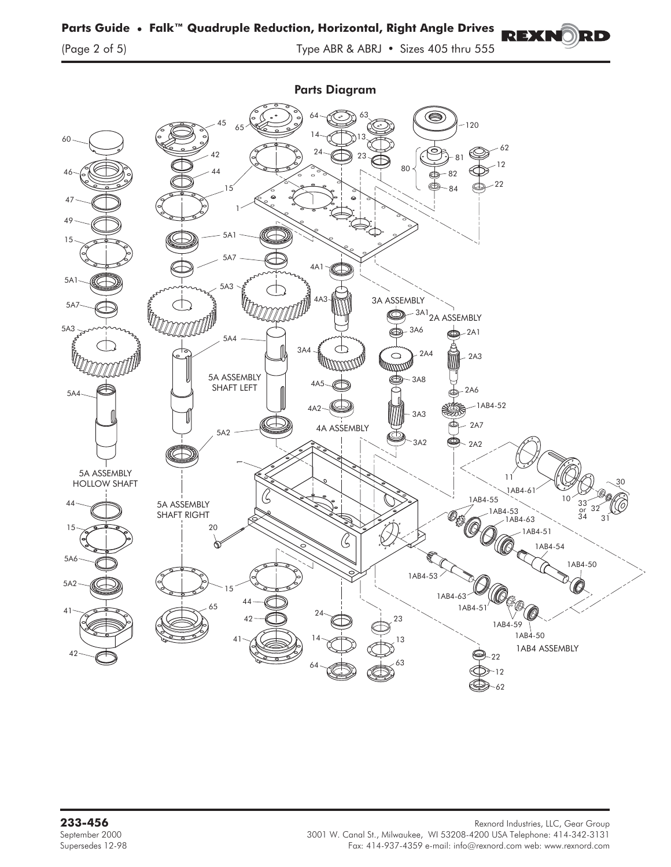Parts Diagram 63 64 (S 45 120 65 14 60 13 62 42 24 23 81 12  $80$   $\frac{1}{60}$  82  $44$ 46 22 15 84 47 1 49 5A1 15 5A7  $4A<sup>1</sup>$ 5A1 5A3 **Formal**  $A \triangle$ 3A ASSEMBLY  $5A$ **FOR THE REAL PROPERTY** O <sup>3A1</sup>2A ASSEMBLY 5A3 3A6  $2$ A1 5A4 3A4  $\circ$  $2AA$ 2A3 muna 5A ASSEMBLY O) 3A8 4A5 SHAFT LEFT 2A6 5A4  $-1$ AB4-52 4A2 3A3  $-2A7$ 4A ASSEMBLY 5A2 3A2 2A2 5A ASSEMBLY 11 HOLLOW SHAFT 30 1AB4-6 1AB4-55 10 44 33 5A ASSEMBLY 32 or 1AB4-53 1AB4-63 SHAFT RIGHT 3431 15 20 1AB4-51 ⋒ 1AB4-54 5A6 1AB4-50 1AB4-53 5A2 15 1AB4-63  $1AB4-5$ 65 41 24 23 42 1AB4-59 1AB4-50 14 13 41 1AB4 ASSEMBLY 42 22 63 64 12 62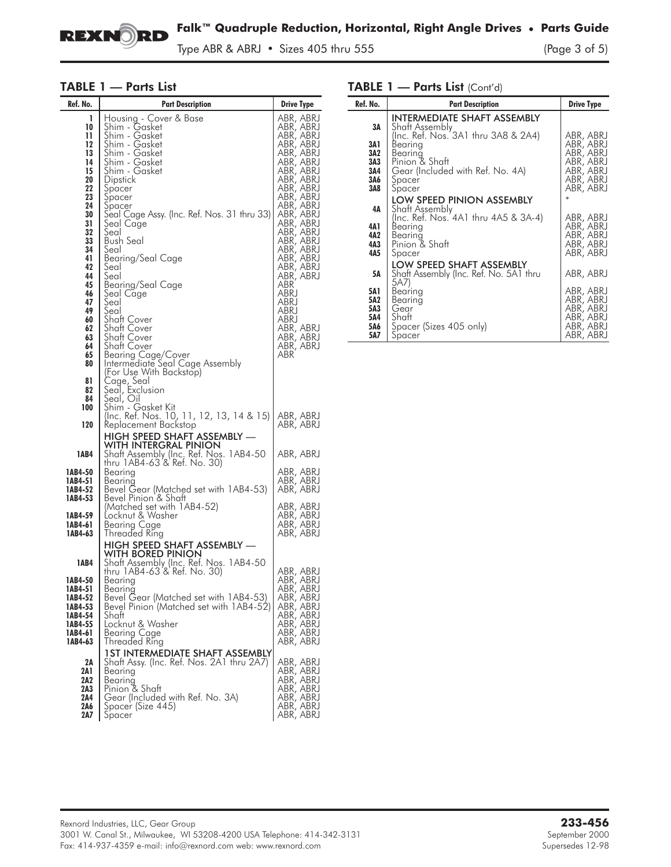

Type ABR & ABRJ • Sizes 405 thru 555 (Page 3 of 5)

### TABLE 1 — Parts List

| Ref. No.                                                                                                                                                                                    | <b>Part Description</b>                                                                                                                                                                                                                                                                                                                                                                                                                                                                                                                                     | <b>Drive Type</b>                                                                                                                                                                                                                                                                                                                               |
|---------------------------------------------------------------------------------------------------------------------------------------------------------------------------------------------|-------------------------------------------------------------------------------------------------------------------------------------------------------------------------------------------------------------------------------------------------------------------------------------------------------------------------------------------------------------------------------------------------------------------------------------------------------------------------------------------------------------------------------------------------------------|-------------------------------------------------------------------------------------------------------------------------------------------------------------------------------------------------------------------------------------------------------------------------------------------------------------------------------------------------|
| 1<br>10<br>11<br>12<br>13<br>14<br>15<br>20<br>22<br>23<br>24<br>30<br>31<br>32<br>33<br>34<br>41<br>42<br>44<br>45<br>46<br>47<br>49<br>60<br>62<br>63<br>64<br>65<br>80<br>81<br>82<br>84 | Housing - Cover & Base<br>Shim - Gasket<br>Shim - Gasket<br>Shim - Gasket<br>Shim - Gasket<br>Shim - Gasket<br>Šhim - Gasket<br>Dipstick<br>Spacer<br>Špacer<br>Spacer<br>Seal Cage Assy. (Inc. Ref. Nos. 31 thru 33)<br>Seal Cage<br>Seal<br><b>Bush Seal</b><br>Seal<br>Bearing/Seal Cage<br>Seal<br>Seal<br>Bearing/Seal Cage<br>Seal Cage<br>Seal<br>Seal<br>Shaft Cover<br>Shaft Cover<br>Shaft Cover<br>Shatt Cover<br>Bearing Cage/Cover<br>Intermediate Seal Cage Assembly<br>(For Use With Backstop)<br>Cage, Seal<br>Seal, Exclusion<br>Seal, Oil | ABR, ABRJ<br>ABR, ABRJ<br>ABR, ABRJ<br>ABR, ABRJ<br>ABR, ABRJ<br>ABR, ABRJ<br>ABR, ABRJ<br>ABR, ABRJ<br>ABR, ABRJ<br>ABR, ABRJ<br>ABR, ABRJ<br>ABR, ABRJ<br>ABR, ABRJ<br>ABR, ABRJ<br>ABR, ABRJ<br>ABR, ABRJ<br>ABR, ABRJ<br>ABR, ABRJ<br>ABR, ABRJ<br>ABR<br>ABRJ<br>ABRJ<br>ABRJ<br>ABRJ<br>ABR, ABRJ<br>ABR, ABRJ<br>ABR, ABRJ<br><b>ABR</b> |
| 100                                                                                                                                                                                         | Shim - Gasket Kit<br>(Inc. Ref. Nos. 10, 11, 12, 13, 14 & 15)                                                                                                                                                                                                                                                                                                                                                                                                                                                                                               | ABR, ABRJ                                                                                                                                                                                                                                                                                                                                       |
| 120                                                                                                                                                                                         | Keplacement Backstop<br>HIGH SPEED SHAFT ASSEMBLY -<br>WITH INTERGRAL PINION                                                                                                                                                                                                                                                                                                                                                                                                                                                                                | ABR, ABRJ                                                                                                                                                                                                                                                                                                                                       |
| 1AB4                                                                                                                                                                                        | Shaft Assembly (Inc. Ref. Nos. 1AB4-50<br>thru 1AB4-63'& Ref. No. 30)                                                                                                                                                                                                                                                                                                                                                                                                                                                                                       | ABR, ABRJ                                                                                                                                                                                                                                                                                                                                       |
| 1AB4-50<br>1AB4-51<br>1AB4-52<br>1AB4-53                                                                                                                                                    | Bearing<br>Bearing<br>Bevel Gear (Matched set with 1AB4-53)<br>Bevel Pinion & Shatt                                                                                                                                                                                                                                                                                                                                                                                                                                                                         | ABR, ABRJ<br>ABR, ABRJ<br>ABR, ABRJ                                                                                                                                                                                                                                                                                                             |
| 1AB4-59<br>1AB4-61<br>1AB4-63                                                                                                                                                               | (Matched set with 1AB4-52)<br>Locknut & Washer<br>Bearing Cage<br><b>Inreaded Ring</b>                                                                                                                                                                                                                                                                                                                                                                                                                                                                      | ABR, ABRJ<br>ABR, ABRJ<br>ABR, ABRJ<br>ABR, ABRJ                                                                                                                                                                                                                                                                                                |
| <b>1AB4</b>                                                                                                                                                                                 | HIGH SPEED SHAFT ASSEMBLY —<br>WITH BORED PINION                                                                                                                                                                                                                                                                                                                                                                                                                                                                                                            |                                                                                                                                                                                                                                                                                                                                                 |
| 1AB4-50<br>1AB4-51<br>1AB4-52<br>1AB4-53<br>1AB4-54<br>1AB4-55<br>1AB4-61<br>1AB4-63                                                                                                        | Shaft Assembly (Inc. Ref. Nos. 1AB4-50<br>thru 1AB4-63 & Ret. No. 30)<br>Bearing<br>Bearing<br>Bevel Gear (Matched set with 1AB4-53)<br>Bevel Pinion (Matched set with 1AB4-52)<br>Shatt<br>Locknut & Washer<br>Bearing Cage<br>Threaded Ring                                                                                                                                                                                                                                                                                                               | ABR, ABRJ<br>ABR, ABRJ<br>ABR, ABRJ<br>ABR, ABRJ<br>ABR, ABRJ<br>ABR, ABRJ<br>ABR, ABRJ<br>ABR, ABRJ<br>ABR, ABRJ                                                                                                                                                                                                                               |
| 2Α<br>2A 1<br>2A2<br>2A3<br>2A4<br>2A6<br>2A7                                                                                                                                               | 1ST INTERMEDIATE SHAFT ASSEMBLY<br>Shatt Assy. (Inc. Ret. Nos. 2A1 thru 2A7).<br>Bearing<br>Bearing<br>Pinion & Shaft<br>Gear (Included with Ref. No. 3A)<br>Spacer (Size 445)<br>Spacer                                                                                                                                                                                                                                                                                                                                                                    | ABR, ABRJ<br>ABR, ABRJ<br>ABR, ABRJ<br>ABR, ABRJ<br>ABR, ABRJ<br>ABR, ABRJ<br>ABR, ABRJ                                                                                                                                                                                                                                                         |

#### TABLE 1 — Parts List (Cont'd)

| Ref. No.                               | <b>Part Description</b>                                                                                                             | <b>Drive Type</b>                                                                       |
|----------------------------------------|-------------------------------------------------------------------------------------------------------------------------------------|-----------------------------------------------------------------------------------------|
| 3A                                     | INTERMEDIATE SHAFT ASSEMBLY<br>Shatt Assembly                                                                                       |                                                                                         |
| 3A1<br>3A2<br>3A3<br>3A4<br>3A6<br>3A8 | (Inc. Ref. Nos. 3A1 thru 3A8 & 2A4)<br>Bearina<br>Bearina<br>Pinion & Shaft<br>Gear (Included with Ref. No. 4A)<br>Spacer<br>Spacer | ABR, ABRJ<br>ABR, ABRJ<br>ABR, ABRJ<br>ABR, ABRJ<br>ABR, ABRJ<br>ABR, ABRJ<br>ABR, ABRJ |
| 4Α                                     | <b>LOW SPEED PINION ASSEMBLY</b><br>Shaft Assembly                                                                                  | $\ast$                                                                                  |
| 4A 1<br>4A2<br>4A3<br>4A5              | (Inc. Ref. Nos. 4A1 thru 4A5 & 3A-4)<br>Bearing<br>Bearing<br>Pinion & Shaft<br>Spacer                                              | ABR, ABRJ<br>ABR, ABRJ<br>ABR, ABRJ<br>ABR, ABRJ<br>ABR, ABRJ                           |
| 5Α                                     | LOW SPEED SHAFT ASSEMBLY<br>Shaft Assembly (Inc. Ref. No. 5A1 thru                                                                  | ABR, ABRJ                                                                               |
| 5A1<br>5A2<br>5A3<br>5A4<br>5A6<br>5A7 | 5A7)<br>Bearing<br>Bearina<br>Gear<br>Shaft<br>Spacer (Sizes 405 only)<br>Spacer                                                    | ABR, ABRJ<br>ABR, ABRJ<br>ABR, ABRJ<br>ABR, ABRJ<br>ABR, ABRJ<br>ABR, ABRJ              |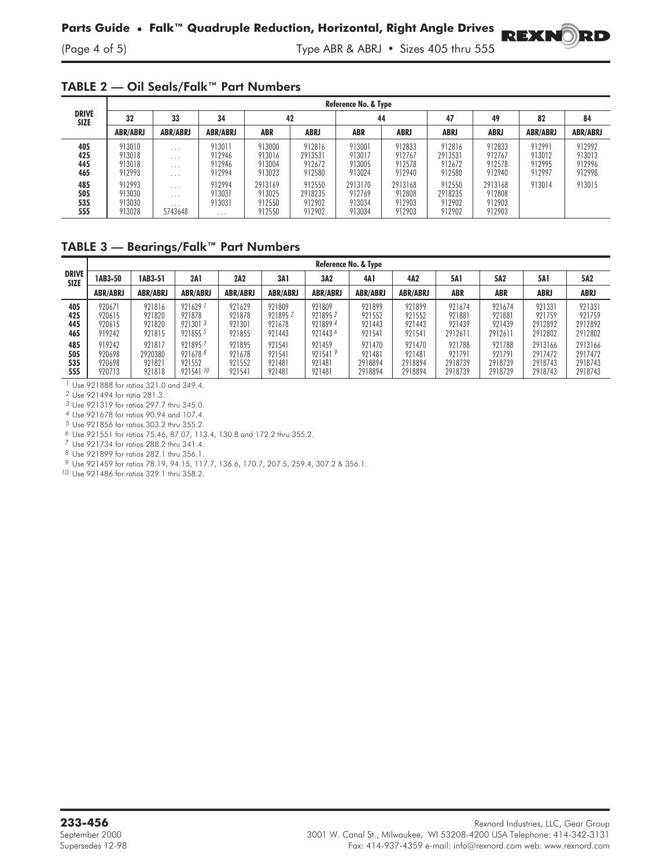(Page 4 of 5) Type ABR & ABRJ • Sizes 405 thru 555

**REXNORD** 

#### TABLE 2 — Oil Seals/Falk™ Part Numbers

| <b>DRIVE</b><br><b>SIZE</b> | Reference No. & Type                 |                                                                            |                                        |                                       |                                       |                                       |                                       |                                       |                                       |                                      |                                      |  |  |
|-----------------------------|--------------------------------------|----------------------------------------------------------------------------|----------------------------------------|---------------------------------------|---------------------------------------|---------------------------------------|---------------------------------------|---------------------------------------|---------------------------------------|--------------------------------------|--------------------------------------|--|--|
|                             | 32                                   | 33                                                                         | 34                                     | 42                                    |                                       | 44                                    |                                       | 47                                    | 49                                    | 82                                   | 84                                   |  |  |
|                             | <b>ABR/ABRJ</b>                      | <b>ABR/ABRJ</b>                                                            | <b>ABR/ABRJ</b>                        | ABR                                   | ABRJ                                  | ABR                                   | ABRJ                                  | ABRJ                                  | <b>ABRJ</b>                           | <b>ABR/ABRJ</b>                      | <b>ABR/ABRJ</b>                      |  |  |
| 405<br>425<br>445<br>465    | 913010<br>913018<br>913018<br>912993 | $\cdot$ $\cdot$ $\cdot$<br>$\cdots$<br>$\cdot$ $\cdot$ $\cdot$<br>$\cdots$ | 913011<br>912946<br>912946<br>912994   | 913000<br>913016<br>913004<br>913023  | 912816<br>2913531<br>912672<br>912580 | 913001<br>913017<br>913005<br>913024  | 912833<br>912767<br>912578<br>912940  | 912816<br>2913531<br>912672<br>912580 | 912833<br>912767<br>912578<br>912940  | 912991<br>913012<br>912995<br>912997 | 912992<br>913013<br>912996<br>912998 |  |  |
| 485<br>505<br>535<br>555    | 912993<br>913030<br>913030<br>913028 | $\cdot$ $\cdot$ $\cdot$<br>$\cdots$<br>$\cdot$ $\cdot$ $\cdot$<br>5743648  | 912994<br>913031<br>913031<br>$\cdots$ | 2913169<br>913025<br>912550<br>912550 | 912550<br>2918235<br>912902<br>912902 | 2913170<br>912769<br>913034<br>913034 | 2913168<br>912808<br>912903<br>912903 | 912550<br>2918235<br>912902<br>912902 | 2913168<br>912808<br>912903<br>912903 | 913014                               | 913015                               |  |  |

### TABLE 3 — Bearings/Falk™ Part Numbers

|                             | Reference No. & Type                 |                                       |                                                       |                                      |                                       |                                         |                                        |                                        |                                        |                                        |                                          |                                          |
|-----------------------------|--------------------------------------|---------------------------------------|-------------------------------------------------------|--------------------------------------|---------------------------------------|-----------------------------------------|----------------------------------------|----------------------------------------|----------------------------------------|----------------------------------------|------------------------------------------|------------------------------------------|
| <b>DRIVE</b><br><b>SIZE</b> | 1AB3-50                              | 1AB3-51                               | 2A 1                                                  | 2A2                                  | 3A1                                   | 3A2                                     | 4A1                                    | 4A2                                    | 5A1                                    | 5A2                                    | <b>5A1</b>                               | 5A2                                      |
|                             | <b>ABR/ABRJ</b>                      | <b>ABR/ABRJ</b>                       | <b>ABR/ABRJ</b>                                       | <b>ABR/ABRJ</b>                      | <b>ABR/ABRJ</b>                       | <b>ABR/ABRJ</b>                         | <b>ABR/ABRJ</b>                        | <b>ABR/ABRJ</b>                        | <b>ABR</b>                             | <b>ABR</b>                             | <b>ABRJ</b>                              | <b>ABRJ</b>                              |
| 405<br>425<br>445<br>465    | 920671<br>920615<br>920615<br>919242 | 921816<br>921820<br>921820<br>921815  | $921629$ <sup>1</sup><br>921878<br>9213013<br>9218555 | 921629<br>921878<br>921301<br>921855 | 921809<br>9218952<br>921678<br>921443 | 921809<br>9218952<br>9218994<br>9214436 | 921899<br>921552<br>921443<br>921541   | 921899<br>921552<br>921443<br>921541   | 921674<br>921881<br>921439<br>2912611  | 921674<br>921881<br>921439<br>2912611  | 921331<br>921759<br>2912892<br>2912802   | 921331<br>921759<br>2912892<br>2912802   |
| 485<br>505<br>535<br>555    | 919242<br>920698<br>920698<br>920713 | 921817<br>2920380<br>921821<br>921818 | 9218957<br>9216788<br>921552<br>921541 10             | 921895<br>921678<br>921552<br>921541 | 921541<br>921541<br>921481<br>921481  | 921459<br>9215419<br>921481<br>921481   | 921470<br>921481<br>2918894<br>2918894 | 921470<br>921481<br>2918894<br>2918894 | 921788<br>921791<br>2918739<br>2918739 | 921788<br>921791<br>2918739<br>2918739 | 2913166<br>2917472<br>2918743<br>2918743 | 2913166<br>2917472<br>2918743<br>2918743 |

*1* Use 921888 for ratios 321.0 and 349.4.

*2* Use 921494 for ratio 281.3.

*3* Use 921319 for ratios 297.7 thru 345.0.

*4* Use 921678 for ratios 90.94 and 107.4.

*5* Use 921856 for ratios 303.2 thru 355.2.

*6* Use 921551 for ratios 75.46, 87.07, 113.4, 130.8 and 172.2 thru 355.2.

*7* Use 921734 for ratios 288.2 thru 341.4.

*8* Use 921899 for ratios 282.1 thru 356.1.

*9* Use 921459 for ratios 78.19, 94.15, 117.7, 136.6, 170.7, 207.5, 259.4, 307.2 & 356.1.

*10* Use 921486 for ratios 329.1 thru 358.2.